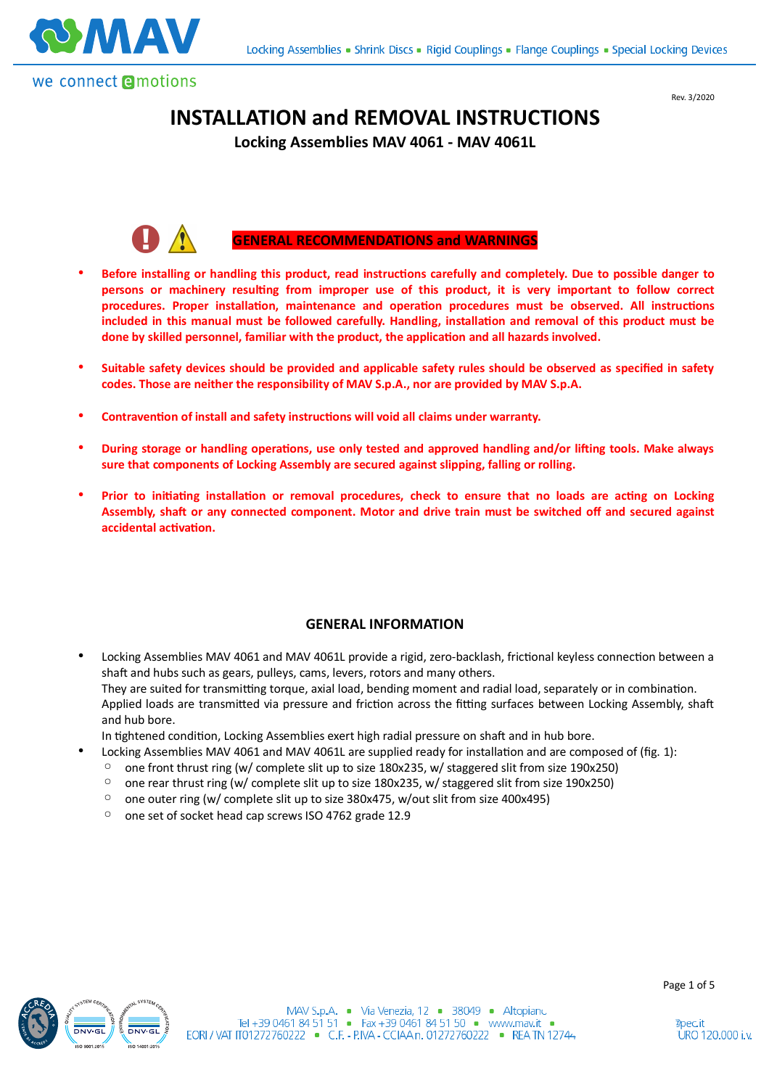



# **INSTALLATION and REMOVAL INSTRUCTIONS**

**Locking Assemblies MAV 4061 - MAV 4061L**



### **GENERAL RECOMMENDATIONS and WARNINGS**

- Before installing or handling this product, read instructions carefully and completely. Due to possible danger to persons or machinery resulting from improper use of this product, it is very important to follow correct procedures. Proper installation, maintenance and operation procedures must be observed. All instructions included in this manual must be followed carefully. Handling, installation and removal of this product must be done by skilled personnel, familiar with the product, the application and all hazards involved.
- **Suitable safety devices should be provided and applicable safety rules should be observed as specified in safety codes. Those are neither the responsibility of MAV S.p.A., nor are provided by MAV S.p.A.**
- Contravention of install and safety instructions will void all claims under warranty.
- **During storage or handling operations, use only tested and approved handling and/or lifting tools. Make always sure that components of Locking Assembly are secured against slipping, falling or rolling.**
- Prior to initiating installation or removal procedures, check to ensure that no loads are acting on Locking Assembly, shaft or any connected component. Motor and drive train must be switched off and secured against **accidental activation.**

#### **GENERAL INFORMATION**

Locking Assemblies MAV 4061 and MAV 4061L provide a rigid, zero-backlash, frictional keyless connection between a shaft and hubs such as gears, pulleys, cams, levers, rotors and many others. They are suited for transmitting torque, axial load, bending moment and radial load, separately or in combination. Applied loads are transmitted via pressure and friction across the fitting surfaces between Locking Assembly, shaft and hub bore.

In tightened condition, Locking Assemblies exert high radial pressure on shaft and in hub bore.

- Locking Assemblies MAV 4061 and MAV 4061L are supplied ready for installation and are composed of (fig. 1):
- one front thrust ring (w/ complete slit up to size 180x235, w/ staggered slit from size 190x250)
- one rear thrust ring (w/ complete slit up to size 180x235, w/ staggered slit from size 190x250)
- one outer ring (w/ complete slit up to size 380x475, w/out slit from size 400x495)
- one set of socket head cap screws ISO 4762 grade 12.9

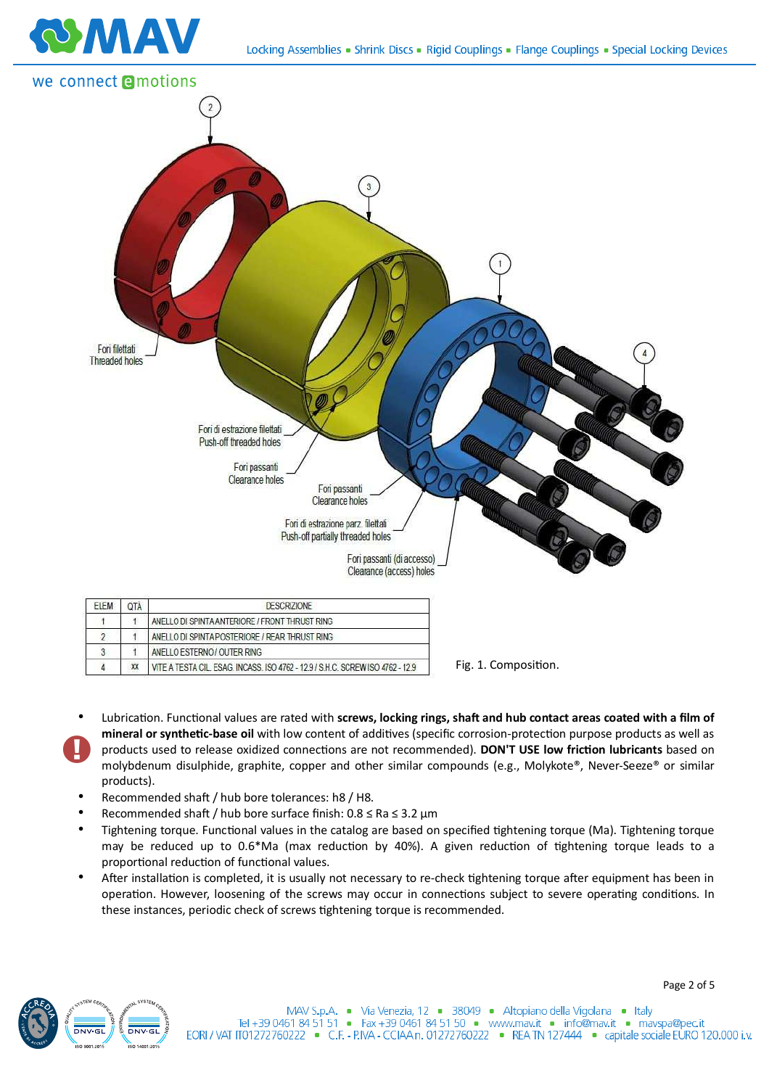



 $\sqrt{4}$ XX VITE A TESTA CIL. ESAG. INCASS. ISO 4762 - 12.9 / S.H.C. SCREW ISO 4762 - 12.9 Fig. 1. Composition.

- Lubrication. Functional values are rated with **screws, locking rings, shaft and hub contact areas coated with a film of** mineral or synthetic-base oil with low content of additives (specific corrosion-protection purpose products as well as products used to release oxidized connections are not recommended). DON'T USE low friction lubricants based on molybdenum disulphide, graphite, copper and other similar compounds (e.g., Molykote®, Never-Seeze® or similar products).
- Recommended shaft / hub bore tolerances: h8 / H8.
- Recommended shaft / hub bore surface finish:  $0.8 \leq Ra \leq 3.2$  um
- Tightening torque. Functional values in the catalog are based on specified tightening torque (Ma). Tightening torque may be reduced up to 0.6\*Ma (max reduction by 40%). A given reduction of tightening torque leads to a proportional reduction of functional values.
- After installation is completed, it is usually not necessary to re-check tightening torque after equipment has been in operation. However, loosening of the screws may occur in connections subject to severe operating conditions. In these instances, periodic check of screws tightening torque is recommended.

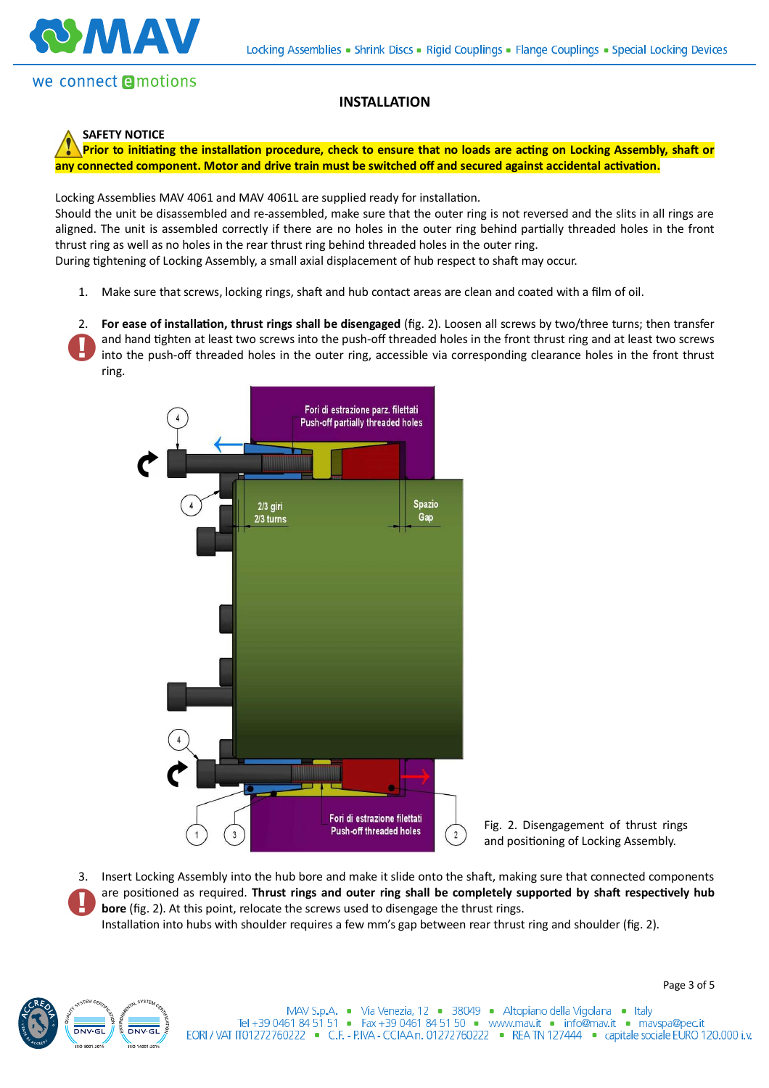

# we connect **Amotions**

#### **INSTALLATION**



Prior to initiating the installation procedure, check to ensure that no loads are acting on Locking Assembly, shaft or any connected component. Motor and drive train must be switched off and secured against accidental activation.

Locking Assemblies MAV 4061 and MAV 4061L are supplied ready for installation.

Should the unit be disassembled and re-assembled, make sure that the outer ring is not reversed and the slits in all rings are aligned. The unit is assembled correctly if there are no holes in the outer ring behind partially threaded holes in the front thrust ring as well as no holes in the rear thrust ring behind threaded holes in the outer ring.

During tightening of Locking Assembly, a small axial displacement of hub respect to shaft may occur.

1. Make sure that screws, locking rings, shaft and hub contact areas are clean and coated with a film of oil.

2. For ease of installation, thrust rings shall be disengaged (fig. 2). Loosen all screws by two/three turns; then transfer and hand tighten at least two screws into the push-off threaded holes in the front thrust ring and at least two screws into the push-off threaded holes in the outer ring, accessible via corresponding clearance holes in the front thrust ring.



Fig. 2. Disengagement of thrust rings and positioning of Locking Assembly.

3. Insert Locking Assembly into the hub bore and make it slide onto the shaft, making sure that connected components are positioned as required. Thrust rings and outer ring shall be completely supported by shaft respectively hub **bore** (fig. 2). At this point, relocate the screws used to disengage the thrust rings.

Installation into hubs with shoulder requires a few mm's gap between rear thrust ring and shoulder (fig. 2).

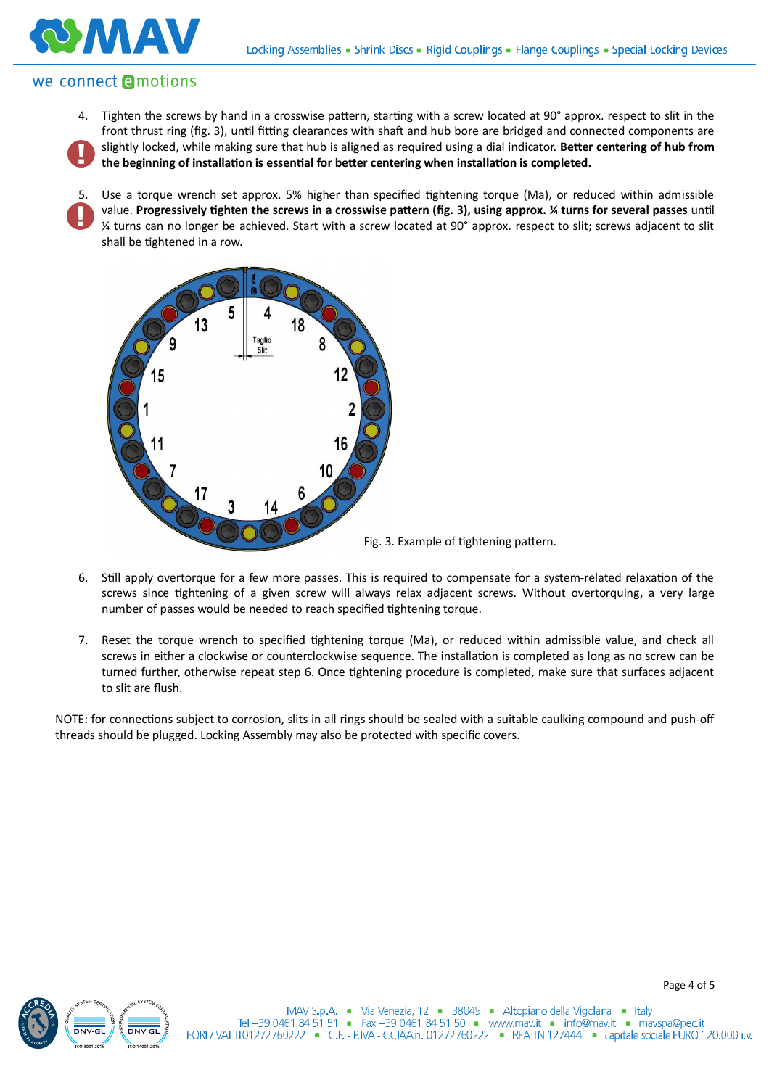### we connect **e**motions

MTAN

4. Tighten the screws by hand in a crosswise pattern, starting with a screw located at 90° approx. respect to slit in the front thrust ring (fig. 3), until fitting clearances with shaft and hub bore are bridged and connected components are slightly locked, while making sure that hub is aligned as required using a dial indicator. Better centering of hub from the beginning of installation is essential for better centering when installation is completed.

5. Use a torque wrench set approx. 5% higher than specified tightening torque (Ma), or reduced within admissible value. Progressively tighten the screws in a crosswise pattern (fig. 3), using approx. *¼* turns for several passes until ¼ turns can no longer be achieved. Start with a screw located at 90° approx. respect to slit; screws adjacent to slit shall be tightened in a row.



- 6. Still apply overtorque for a few more passes. This is required to compensate for a system-related relaxation of the screws since tightening of a given screw will always relax adjacent screws. Without overtorquing, a very large number of passes would be needed to reach specified tightening torque.
- 7. Reset the torque wrench to specified tightening torque (Ma), or reduced within admissible value, and check all screws in either a clockwise or counterclockwise sequence. The installation is completed as long as no screw can be turned further, otherwise repeat step 6. Once tightening procedure is completed, make sure that surfaces adjacent to slit are flush.

NOTE: for connections subject to corrosion, slits in all rings should be sealed with a suitable caulking compound and push-off threads should be plugged. Locking Assembly may also be protected with specific covers.